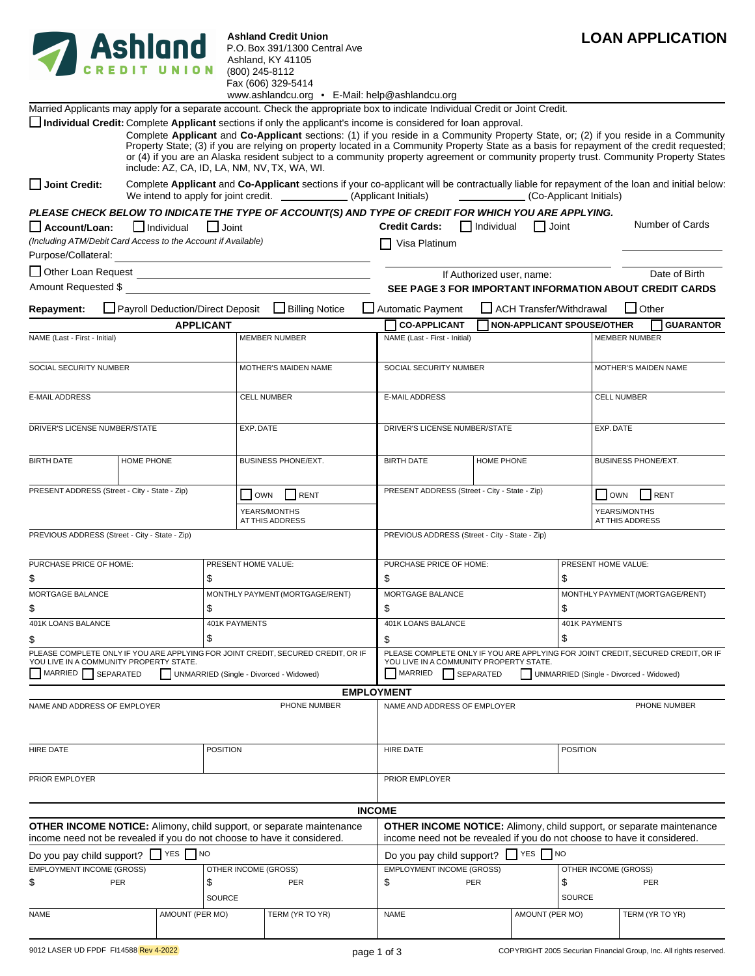

**Ashland Credit Union** P.O. Box 391/1300 Central Ave Ashland, KY 41105 (800) 245-8112 Fax (606) 329-5414

|                                                                                |            |                                  |                                 | www.ashlandcu.org • E-Mail: help@ashlandcu.org                                                                                                                                                                                                                                                                                                                                                                                                                                                                                                                                               |                                                                                                                                                        |                   |                                   |                      |                                 |                                         |  |
|--------------------------------------------------------------------------------|------------|----------------------------------|---------------------------------|----------------------------------------------------------------------------------------------------------------------------------------------------------------------------------------------------------------------------------------------------------------------------------------------------------------------------------------------------------------------------------------------------------------------------------------------------------------------------------------------------------------------------------------------------------------------------------------------|--------------------------------------------------------------------------------------------------------------------------------------------------------|-------------------|-----------------------------------|----------------------|---------------------------------|-----------------------------------------|--|
|                                                                                |            |                                  |                                 | Married Applicants may apply for a separate account. Check the appropriate box to indicate Individual Credit or Joint Credit.                                                                                                                                                                                                                                                                                                                                                                                                                                                                |                                                                                                                                                        |                   |                                   |                      |                                 |                                         |  |
|                                                                                |            |                                  |                                 | Individual Credit: Complete Applicant sections if only the applicant's income is considered for loan approval.<br>Complete Applicant and Co-Applicant sections: (1) if you reside in a Community Property State, or; (2) if you reside in a Community<br>Property State; (3) if you are relying on property located in a Community Property State as a basis for repayment of the credit requested;<br>or (4) if you are an Alaska resident subject to a community property agreement or community property trust. Community Property States<br>include: AZ, CA, ID, LA, NM, NV, TX, WA, WI. |                                                                                                                                                        |                   |                                   |                      |                                 |                                         |  |
| Joint Credit:                                                                  |            |                                  |                                 | Complete Applicant and Co-Applicant sections if your co-applicant will be contractually liable for repayment of the loan and initial below:                                                                                                                                                                                                                                                                                                                                                                                                                                                  |                                                                                                                                                        |                   | (Co-Applicant Initials)           |                      |                                 |                                         |  |
|                                                                                |            |                                  |                                 | PLEASE CHECK BELOW TO INDICATE THE TYPE OF ACCOUNT(S) AND TYPE OF CREDIT FOR WHICH YOU ARE APPLYING.                                                                                                                                                                                                                                                                                                                                                                                                                                                                                         |                                                                                                                                                        |                   |                                   |                      |                                 |                                         |  |
| Account/Loan:<br>(Including ATM/Debit Card Access to the Account if Available) |            | $\Box$ Individual                | $\Box$ Joint                    |                                                                                                                                                                                                                                                                                                                                                                                                                                                                                                                                                                                              | <b>Credit Cards:</b><br>Visa Platinum                                                                                                                  | $\Box$ Individual | Joint                             |                      |                                 | Number of Cards                         |  |
| Purpose/Collateral:                                                            |            |                                  |                                 | <u> 1980 - Johann John Stein, markin fan it ferstjer fan de ferstjer fan it ferstjer fan it ferstjer fan it fers</u>                                                                                                                                                                                                                                                                                                                                                                                                                                                                         |                                                                                                                                                        |                   |                                   |                      |                                 |                                         |  |
| Other Loan Request<br>Amount Requested \$                                      |            |                                  |                                 | <u> 1989 - Johann Barn, fransk politik fotograf (d. 1989)</u>                                                                                                                                                                                                                                                                                                                                                                                                                                                                                                                                |                                                                                                                                                        |                   | If Authorized user, name:         |                      |                                 | Date of Birth                           |  |
| Repayment:                                                                     |            | Payroll Deduction/Direct Deposit |                                 | Billing Notice                                                                                                                                                                                                                                                                                                                                                                                                                                                                                                                                                                               | SEE PAGE 3 FOR IMPORTANT INFORMATION ABOUT CREDIT CARDS<br>Automatic Payment                                                                           |                   | ACH Transfer/Withdrawal           |                      |                                 | $\Box$ Other                            |  |
|                                                                                |            | <b>APPLICANT</b>                 |                                 |                                                                                                                                                                                                                                                                                                                                                                                                                                                                                                                                                                                              | <b>CO-APPLICANT</b>                                                                                                                                    |                   | <b>NON-APPLICANT SPOUSE/OTHER</b> |                      |                                 | <b>GUARANTOR</b>                        |  |
| NAME (Last - First - Initial)                                                  |            |                                  |                                 | <b>MEMBER NUMBER</b>                                                                                                                                                                                                                                                                                                                                                                                                                                                                                                                                                                         | NAME (Last - First - Initial)                                                                                                                          |                   |                                   | <b>MEMBER NUMBER</b> |                                 |                                         |  |
|                                                                                |            |                                  |                                 |                                                                                                                                                                                                                                                                                                                                                                                                                                                                                                                                                                                              |                                                                                                                                                        |                   |                                   |                      |                                 |                                         |  |
| SOCIAL SECURITY NUMBER                                                         |            |                                  |                                 | SOCIAL SECURITY NUMBER<br>MOTHER'S MAIDEN NAME                                                                                                                                                                                                                                                                                                                                                                                                                                                                                                                                               |                                                                                                                                                        |                   |                                   |                      | MOTHER'S MAIDEN NAME            |                                         |  |
| <b>E-MAIL ADDRESS</b>                                                          |            |                                  |                                 | <b>CELL NUMBER</b>                                                                                                                                                                                                                                                                                                                                                                                                                                                                                                                                                                           | <b>E-MAIL ADDRESS</b>                                                                                                                                  |                   |                                   | <b>CELL NUMBER</b>   |                                 |                                         |  |
| DRIVER'S LICENSE NUMBER/STATE                                                  |            |                                  |                                 | EXP. DATE                                                                                                                                                                                                                                                                                                                                                                                                                                                                                                                                                                                    | DRIVER'S LICENSE NUMBER/STATE                                                                                                                          |                   |                                   | EXP. DATE            |                                 |                                         |  |
| <b>BIRTH DATE</b>                                                              | HOME PHONE |                                  |                                 | BUSINESS PHONE/EXT.                                                                                                                                                                                                                                                                                                                                                                                                                                                                                                                                                                          | <b>BIRTH DATE</b>                                                                                                                                      | HOME PHONE        |                                   | BUSINESS PHONE/EXT.  |                                 |                                         |  |
| PRESENT ADDRESS (Street - City - State - Zip)                                  |            |                                  |                                 | RENT<br>OWN                                                                                                                                                                                                                                                                                                                                                                                                                                                                                                                                                                                  | PRESENT ADDRESS (Street - City - State - Zip)                                                                                                          |                   |                                   |                      | <b>OWN</b>                      | RENT                                    |  |
|                                                                                |            |                                  |                                 | YEARS/MONTHS<br>AT THIS ADDRESS                                                                                                                                                                                                                                                                                                                                                                                                                                                                                                                                                              |                                                                                                                                                        |                   |                                   |                      | YEARS/MONTHS<br>AT THIS ADDRESS |                                         |  |
| PREVIOUS ADDRESS (Street - City - State - Zip)                                 |            |                                  |                                 |                                                                                                                                                                                                                                                                                                                                                                                                                                                                                                                                                                                              | PREVIOUS ADDRESS (Street - City - State - Zip)                                                                                                         |                   |                                   |                      |                                 |                                         |  |
| PURCHASE PRICE OF HOME:                                                        |            |                                  | PRESENT HOME VALUE:             |                                                                                                                                                                                                                                                                                                                                                                                                                                                                                                                                                                                              | PURCHASE PRICE OF HOME:                                                                                                                                |                   |                                   |                      | PRESENT HOME VALUE:             |                                         |  |
| \$                                                                             |            | \$                               |                                 |                                                                                                                                                                                                                                                                                                                                                                                                                                                                                                                                                                                              | \$                                                                                                                                                     |                   |                                   | \$                   |                                 |                                         |  |
| <b>MORTGAGE BALANCE</b>                                                        |            |                                  | MONTHLY PAYMENT (MORTGAGE/RENT) | MORTGAGE BALANCE                                                                                                                                                                                                                                                                                                                                                                                                                                                                                                                                                                             |                                                                                                                                                        |                   | MONTHLY PAYMENT (MORTGAGE/RENT)   |                      |                                 |                                         |  |
| \$                                                                             |            | \$                               |                                 |                                                                                                                                                                                                                                                                                                                                                                                                                                                                                                                                                                                              | \$                                                                                                                                                     |                   |                                   | \$                   |                                 |                                         |  |
| 401K LOANS BALANCE                                                             |            | \$                               | 401K PAYMENTS                   |                                                                                                                                                                                                                                                                                                                                                                                                                                                                                                                                                                                              | 401K LOANS BALANCE                                                                                                                                     |                   |                                   | 401K PAYMENTS        |                                 |                                         |  |
| \$                                                                             |            |                                  |                                 | PLEASE COMPLETE ONLY IF YOU ARE APPLYING FOR JOINT CREDIT, SECURED CREDIT, OR IF                                                                                                                                                                                                                                                                                                                                                                                                                                                                                                             | \$<br>PLEASE COMPLETE ONLY IF YOU ARE APPLYING FOR JOINT CREDIT, SECURED CREDIT, OR IF                                                                 |                   |                                   | \$                   |                                 |                                         |  |
| YOU LIVE IN A COMMUNITY PROPERTY STATE.<br>MARRIED SEPARATED                   |            |                                  |                                 | UNMARRIED (Single - Divorced - Widowed)                                                                                                                                                                                                                                                                                                                                                                                                                                                                                                                                                      | YOU LIVE IN A COMMUNITY PROPERTY STATE.<br><b>MARRIED</b>                                                                                              | SEPARATED         |                                   |                      |                                 | UNMARRIED (Single - Divorced - Widowed) |  |
|                                                                                |            |                                  |                                 |                                                                                                                                                                                                                                                                                                                                                                                                                                                                                                                                                                                              | <b>EMPLOYMENT</b>                                                                                                                                      |                   |                                   |                      |                                 |                                         |  |
| NAME AND ADDRESS OF EMPLOYER                                                   |            |                                  |                                 | PHONE NUMBER                                                                                                                                                                                                                                                                                                                                                                                                                                                                                                                                                                                 | NAME AND ADDRESS OF EMPLOYER                                                                                                                           |                   |                                   |                      |                                 | PHONE NUMBER                            |  |
| HIRE DATE<br><b>POSITION</b>                                                   |            |                                  |                                 | <b>HIRE DATE</b>                                                                                                                                                                                                                                                                                                                                                                                                                                                                                                                                                                             |                                                                                                                                                        |                   | <b>POSITION</b>                   |                      |                                 |                                         |  |
| PRIOR EMPLOYER                                                                 |            |                                  |                                 |                                                                                                                                                                                                                                                                                                                                                                                                                                                                                                                                                                                              | PRIOR EMPLOYER                                                                                                                                         |                   |                                   |                      |                                 |                                         |  |
|                                                                                |            |                                  |                                 |                                                                                                                                                                                                                                                                                                                                                                                                                                                                                                                                                                                              | <b>INCOME</b>                                                                                                                                          |                   |                                   |                      |                                 |                                         |  |
|                                                                                |            |                                  |                                 | <b>OTHER INCOME NOTICE:</b> Alimony, child support, or separate maintenance<br>income need not be revealed if you do not choose to have it considered.                                                                                                                                                                                                                                                                                                                                                                                                                                       | <b>OTHER INCOME NOTICE:</b> Alimony, child support, or separate maintenance<br>income need not be revealed if you do not choose to have it considered. |                   |                                   |                      |                                 |                                         |  |
| Do you pay child support?                                                      |            | $\bigcap$ YES $\bigcap$ NO       |                                 |                                                                                                                                                                                                                                                                                                                                                                                                                                                                                                                                                                                              | Do you pay child support?                                                                                                                              |                   | YES NO                            |                      |                                 |                                         |  |
| <b>EMPLOYMENT INCOME (GROSS)</b>                                               |            |                                  | OTHER INCOME (GROSS)            |                                                                                                                                                                                                                                                                                                                                                                                                                                                                                                                                                                                              | <b>EMPLOYMENT INCOME (GROSS)</b>                                                                                                                       |                   |                                   |                      | OTHER INCOME (GROSS)            |                                         |  |
| \$                                                                             | PER        | \$                               | SOURCE                          | PER                                                                                                                                                                                                                                                                                                                                                                                                                                                                                                                                                                                          | \$                                                                                                                                                     | <b>PER</b>        |                                   | \$<br>SOURCE         |                                 | PER                                     |  |
| <b>NAME</b>                                                                    |            | AMOUNT (PER MO)                  |                                 | TERM (YR TO YR)                                                                                                                                                                                                                                                                                                                                                                                                                                                                                                                                                                              | <b>NAME</b>                                                                                                                                            |                   | AMOUNT (PER MO)                   |                      |                                 | TERM (YR TO YR)                         |  |
|                                                                                |            |                                  |                                 |                                                                                                                                                                                                                                                                                                                                                                                                                                                                                                                                                                                              |                                                                                                                                                        |                   |                                   |                      |                                 |                                         |  |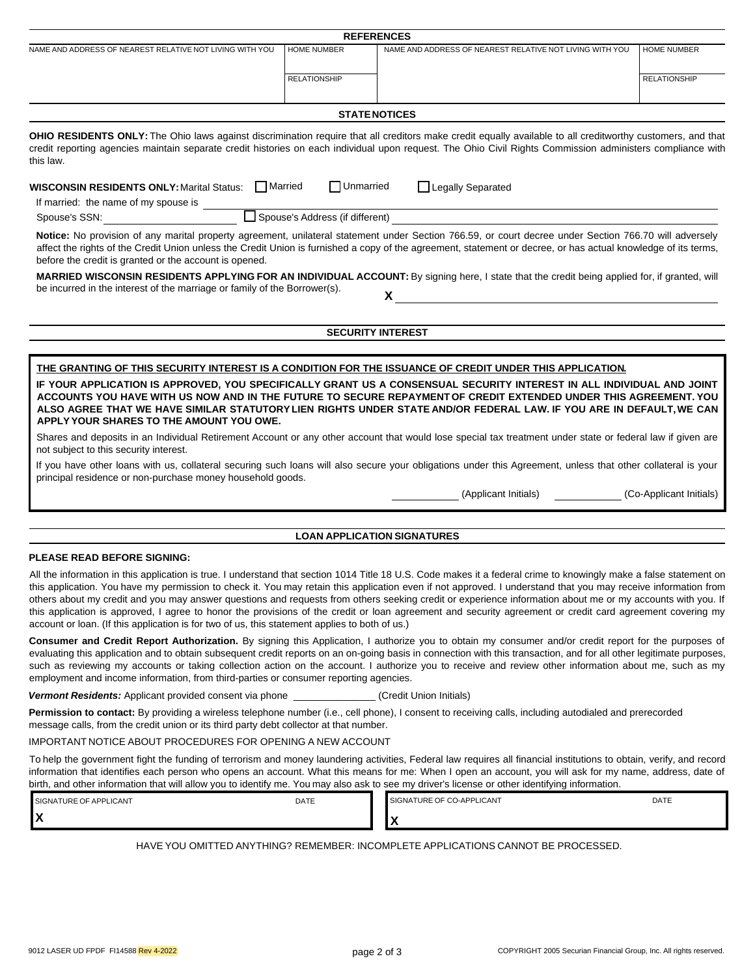|                                                                                                                                                  |                     | <b>REFERENCES</b>                                                                                                                                                                                                                                                                                                                                                                                                                                                                                                                                                                                                                                               |                         |
|--------------------------------------------------------------------------------------------------------------------------------------------------|---------------------|-----------------------------------------------------------------------------------------------------------------------------------------------------------------------------------------------------------------------------------------------------------------------------------------------------------------------------------------------------------------------------------------------------------------------------------------------------------------------------------------------------------------------------------------------------------------------------------------------------------------------------------------------------------------|-------------------------|
| NAME AND ADDRESS OF NEAREST RELATIVE NOT LIVING WITH YOU                                                                                         | <b>HOME NUMBER</b>  | NAME AND ADDRESS OF NEAREST RELATIVE NOT LIVING WITH YOU                                                                                                                                                                                                                                                                                                                                                                                                                                                                                                                                                                                                        | <b>HOME NUMBER</b>      |
|                                                                                                                                                  | <b>RELATIONSHIP</b> |                                                                                                                                                                                                                                                                                                                                                                                                                                                                                                                                                                                                                                                                 | <b>RELATIONSHIP</b>     |
|                                                                                                                                                  |                     | <b>STATE NOTICES</b>                                                                                                                                                                                                                                                                                                                                                                                                                                                                                                                                                                                                                                            |                         |
| this law.                                                                                                                                        |                     | OHIO RESIDENTS ONLY: The Ohio laws against discrimination require that all creditors make credit equally available to all creditworthy customers, and that<br>credit reporting agencies maintain separate credit histories on each individual upon request. The Ohio Civil Rights Commission administers compliance with                                                                                                                                                                                                                                                                                                                                        |                         |
| WISCONSIN RESIDENTS ONLY: Marital Status: Married<br>If married: the name of my spouse is _______                                                | $\Box$ Unmarried    | Legally Separated                                                                                                                                                                                                                                                                                                                                                                                                                                                                                                                                                                                                                                               |                         |
| Spouse's SSN:                                                                                                                                    |                     | Spouse's Address (if different)                                                                                                                                                                                                                                                                                                                                                                                                                                                                                                                                                                                                                                 |                         |
| before the credit is granted or the account is opened.                                                                                           |                     | Notice: No provision of any marital property agreement, unilateral statement under Section 766.59, or court decree under Section 766.70 will adversely<br>affect the rights of the Credit Union unless the Credit Union is furnished a copy of the agreement, statement or decree, or has actual knowledge of its terms,<br>MARRIED WISCONSIN RESIDENTS APPLYING FOR AN INDIVIDUAL ACCOUNT: By signing here, I state that the credit being applied for, if granted, will                                                                                                                                                                                        |                         |
| be incurred in the interest of the marriage or family of the Borrower(s).                                                                        |                     | X                                                                                                                                                                                                                                                                                                                                                                                                                                                                                                                                                                                                                                                               |                         |
|                                                                                                                                                  |                     |                                                                                                                                                                                                                                                                                                                                                                                                                                                                                                                                                                                                                                                                 |                         |
|                                                                                                                                                  |                     | <b>SECURITY INTEREST</b>                                                                                                                                                                                                                                                                                                                                                                                                                                                                                                                                                                                                                                        |                         |
|                                                                                                                                                  |                     | THE GRANTING OF THIS SECURITY INTEREST IS A CONDITION FOR THE ISSUANCE OF CREDIT UNDER THIS APPLICATION.                                                                                                                                                                                                                                                                                                                                                                                                                                                                                                                                                        |                         |
| APPLY YOUR SHARES TO THE AMOUNT YOU OWE.<br>not subject to this security interest.<br>principal residence or non-purchase money household goods. |                     | ACCOUNTS YOU HAVE WITH US NOW AND IN THE FUTURE TO SECURE REPAYMENT OF CREDIT EXTENDED UNDER THIS AGREEMENT. YOU<br>ALSO AGREE THAT WE HAVE SIMILAR STATUTORY LIEN RIGHTS UNDER STATE AND/OR FEDERAL LAW. IF YOU ARE IN DEFAULT, WE CAN<br>Shares and deposits in an Individual Retirement Account or any other account that would lose special tax treatment under state or federal law if given are<br>If you have other loans with us, collateral securing such loans will also secure your obligations under this Agreement, unless that other collateral is your<br>(Applicant Initials)                                                                   | (Co-Applicant Initials) |
|                                                                                                                                                  |                     | <b>LOAN APPLICATION SIGNATURES</b>                                                                                                                                                                                                                                                                                                                                                                                                                                                                                                                                                                                                                              |                         |
| <b>PLEASE READ BEFORE SIGNING:</b>                                                                                                               |                     |                                                                                                                                                                                                                                                                                                                                                                                                                                                                                                                                                                                                                                                                 |                         |
| account or loan. (If this application is for two of us, this statement applies to both of us.)                                                   |                     | All the information in this application is true. I understand that section 1014 Title 18 U.S. Code makes it a federal crime to knowingly make a false statement on<br>this application. You have my permission to check it. You may retain this application even if not approved. I understand that you may receive information from<br>others about my credit and you may answer questions and requests from others seeking credit or experience information about me or my accounts with you. If<br>this application is approved, I agree to honor the provisions of the credit or loan agreement and security agreement or credit card agreement covering my |                         |
| employment and income information, from third-parties or consumer reporting agencies.                                                            |                     | <b>Consumer and Credit Report Authorization.</b> By signing this Application, I authorize you to obtain my consumer and/or credit report for the purposes of<br>evaluating this application and to obtain subsequent credit reports on an on-going basis in connection with this transaction, and for all other legitimate purposes,<br>such as reviewing my accounts or taking collection action on the account. I authorize you to receive and review other information about me, such as my                                                                                                                                                                  |                         |
| Vermont Residents: Applicant provided consent via phone _______________(Credit Union Initials)                                                   |                     |                                                                                                                                                                                                                                                                                                                                                                                                                                                                                                                                                                                                                                                                 |                         |
| message calls, from the credit union or its third party debt collector at that number.                                                           |                     | Permission to contact: By providing a wireless telephone number (i.e., cell phone), I consent to receiving calls, including autodialed and prerecorded                                                                                                                                                                                                                                                                                                                                                                                                                                                                                                          |                         |
| <b>IMPORTANT NOTICE ABOUT PROCEDURES FOR OPENING A NEW ACCOUNT</b>                                                                               |                     |                                                                                                                                                                                                                                                                                                                                                                                                                                                                                                                                                                                                                                                                 |                         |
| birth, and other information that will allow you to identify me. You may also ask to see my driver's license or other identifying information.   |                     | To help the government fight the funding of terrorism and money laundering activities, Federal law requires all financial institutions to obtain, verify, and record<br>information that identifies each person who opens an account. What this means for me: When I open an account, you will ask for my name, address, date of                                                                                                                                                                                                                                                                                                                                |                         |
| SIGNATURE OF APPLICANT<br>X                                                                                                                      | DATE                | SIGNATURE OF CO-APPLICANT<br>X                                                                                                                                                                                                                                                                                                                                                                                                                                                                                                                                                                                                                                  | DATE                    |
|                                                                                                                                                  |                     | HAVE YOU OMITTED ANYTHING? REMEMBER: INCOMPLETE APPLICATIONS CANNOT BE PROCESSED.                                                                                                                                                                                                                                                                                                                                                                                                                                                                                                                                                                               |                         |